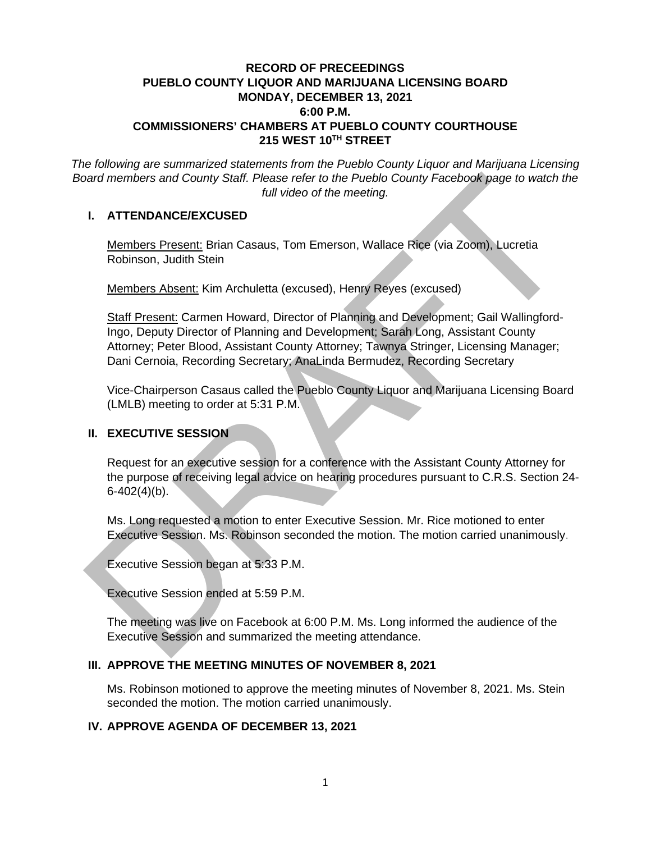# **RECORD OF PRECEEDINGS PUEBLO COUNTY LIQUOR AND MARIJUANA LICENSING BOARD MONDAY, DECEMBER 13, 2021 6:00 P.M. COMMISSIONERS' CHAMBERS AT PUEBLO COUNTY COURTHOUSE 215 WEST 10TH STREET**

*The following are summarized statements from the Pueblo County Liquor and Marijuana Licensing Board members and County Staff. Please refer to the Pueblo County Facebook page to watch the full video of the meeting.*

### **I. ATTENDANCE/EXCUSED**

Members Present: Brian Casaus, Tom Emerson, Wallace Rice (via Zoom), Lucretia Robinson, Judith Stein

Members Absent: Kim Archuletta (excused), Henry Reyes (excused)

Staff Present: Carmen Howard, Director of Planning and Development; Gail Wallingford-Ingo, Deputy Director of Planning and Development; Sarah Long, Assistant County Attorney; Peter Blood, Assistant County Attorney; Tawnya Stringer, Licensing Manager; Dani Cernoia, Recording Secretary; AnaLinda Bermudez, Recording Secretary The Members and County Staff. Please refer to the Pueblo County Facebook page to watch the Mustam Cassus, Tom Emerson, Wallace Rice (via Zoom), Lucretia<br>
Members Presenti: Brian Cassus, Tom Emerson, Wallace Rice (via Zoom)

Vice-Chairperson Casaus called the Pueblo County Liquor and Marijuana Licensing Board (LMLB) meeting to order at 5:31 P.M.

### **II. EXECUTIVE SESSION**

Request for an executive session for a conference with the Assistant County Attorney for the purpose of receiving legal advice on hearing procedures pursuant to C.R.S. Section 24-  $6-402(4)(b)$ .

Ms. Long requested a motion to enter Executive Session. Mr. Rice motioned to enter Executive Session. Ms. Robinson seconded the motion. The motion carried unanimously.

Executive Session began at 5:33 P.M.

Executive Session ended at 5:59 P.M.

The meeting was live on Facebook at 6:00 P.M. Ms. Long informed the audience of the Executive Session and summarized the meeting attendance.

### **III. APPROVE THE MEETING MINUTES OF NOVEMBER 8, 2021**

Ms. Robinson motioned to approve the meeting minutes of November 8, 2021. Ms. Stein seconded the motion. The motion carried unanimously.

### **IV. APPROVE AGENDA OF DECEMBER 13, 2021**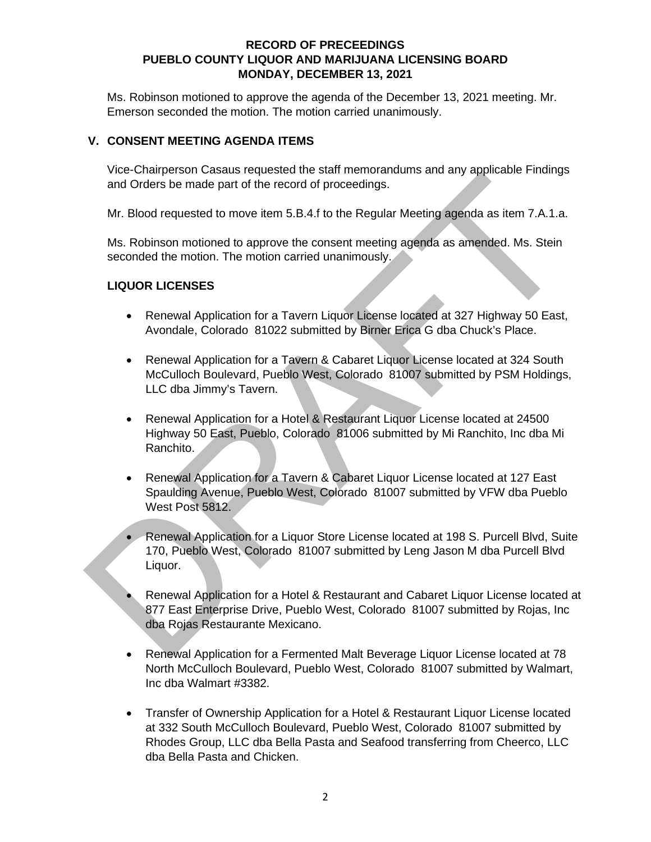Ms. Robinson motioned to approve the agenda of the December 13, 2021 meeting. Mr. Emerson seconded the motion. The motion carried unanimously.

# **V. CONSENT MEETING AGENDA ITEMS**

Vice-Chairperson Casaus requested the staff memorandums and any applicable Findings and Orders be made part of the record of proceedings.

Mr. Blood requested to move item 5.B.4.f to the Regular Meeting agenda as item 7.A.1.a.

Ms. Robinson motioned to approve the consent meeting agenda as amended. Ms. Stein seconded the motion. The motion carried unanimously.

# **LIQUOR LICENSES**

- Renewal Application for a Tavern Liquor License located at 327 Highway 50 East, Avondale, Colorado 81022 submitted by Birner Erica G dba Chuck's Place.
- Renewal Application for a Tavern & Cabaret Liquor License located at 324 South McCulloch Boulevard, Pueblo West, Colorado 81007 submitted by PSM Holdings, LLC dba Jimmy's Tavern. From Manufacture to the Regular Method of the record of proceedings.<br>
Mr. Blood requested to move item 5.B.4.f to the Regular Meeting agenda as item 7.A.1.a.<br>
Ms. Robinson motioned to approve the consent meeting agenda as
	- Renewal Application for a Hotel & Restaurant Liquor License located at 24500 Highway 50 East, Pueblo, Colorado 81006 submitted by Mi Ranchito, Inc dba Mi Ranchito.
	- Renewal Application for a Tavern & Cabaret Liquor License located at 127 East Spaulding Avenue, Pueblo West, Colorado 81007 submitted by VFW dba Pueblo West Post 5812.
	- Renewal Application for a Liquor Store License located at 198 S. Purcell Blvd, Suite 170, Pueblo West, Colorado 81007 submitted by Leng Jason M dba Purcell Blvd Liquor.
	- Renewal Application for a Hotel & Restaurant and Cabaret Liquor License located at 877 East Enterprise Drive, Pueblo West, Colorado 81007 submitted by Rojas, Inc dba Rojas Restaurante Mexicano.
	- Renewal Application for a Fermented Malt Beverage Liquor License located at 78 North McCulloch Boulevard, Pueblo West, Colorado 81007 submitted by Walmart, Inc dba Walmart #3382.
	- Transfer of Ownership Application for a Hotel & Restaurant Liquor License located at 332 South McCulloch Boulevard, Pueblo West, Colorado 81007 submitted by Rhodes Group, LLC dba Bella Pasta and Seafood transferring from Cheerco, LLC dba Bella Pasta and Chicken.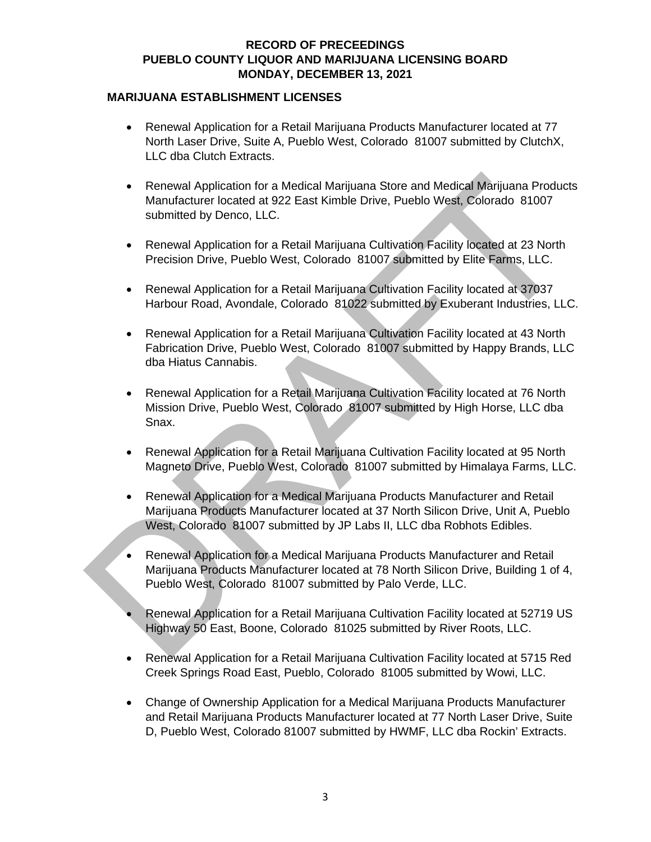#### **MARIJUANA ESTABLISHMENT LICENSES**

- Renewal Application for a Retail Marijuana Products Manufacturer located at 77 North Laser Drive, Suite A, Pueblo West, Colorado 81007 submitted by ClutchX, LLC dba Clutch Extracts.
- Renewal Application for a Medical Marijuana Store and Medical Marijuana Products Manufacturer located at 922 East Kimble Drive, Pueblo West, Colorado 81007 submitted by Denco, LLC. • Renewal Application for a Medical Marijuana Store and Medical Marijuana Produce<br>
Manufacturer located at 922 East Kimble Drive, Pueblo West, Colorado 81007<br>
submitted by Denco, LLC.<br>
• Renewal Application for a Retail M
	- Renewal Application for a Retail Marijuana Cultivation Facility located at 23 North Precision Drive, Pueblo West, Colorado 81007 submitted by Elite Farms, LLC.
	- Renewal Application for a Retail Marijuana Cultivation Facility located at 37037 Harbour Road, Avondale, Colorado 81022 submitted by Exuberant Industries, LLC.
	- Renewal Application for a Retail Marijuana Cultivation Facility located at 43 North Fabrication Drive, Pueblo West, Colorado 81007 submitted by Happy Brands, LLC dba Hiatus Cannabis.
	- Renewal Application for a Retail Marijuana Cultivation Facility located at 76 North Mission Drive, Pueblo West, Colorado 81007 submitted by High Horse, LLC dba Snax.
	- Renewal Application for a Retail Marijuana Cultivation Facility located at 95 North Magneto Drive, Pueblo West, Colorado 81007 submitted by Himalaya Farms, LLC.
	- Renewal Application for a Medical Marijuana Products Manufacturer and Retail Marijuana Products Manufacturer located at 37 North Silicon Drive, Unit A, Pueblo West, Colorado 81007 submitted by JP Labs II, LLC dba Robhots Edibles.
	- Renewal Application for a Medical Marijuana Products Manufacturer and Retail Marijuana Products Manufacturer located at 78 North Silicon Drive, Building 1 of 4, Pueblo West, Colorado 81007 submitted by Palo Verde, LLC.
	- Renewal Application for a Retail Marijuana Cultivation Facility located at 52719 US Highway 50 East, Boone, Colorado 81025 submitted by River Roots, LLC.
	- Renewal Application for a Retail Marijuana Cultivation Facility located at 5715 Red Creek Springs Road East, Pueblo, Colorado 81005 submitted by Wowi, LLC.
	- Change of Ownership Application for a Medical Marijuana Products Manufacturer and Retail Marijuana Products Manufacturer located at 77 North Laser Drive, Suite D, Pueblo West, Colorado 81007 submitted by HWMF, LLC dba Rockin' Extracts.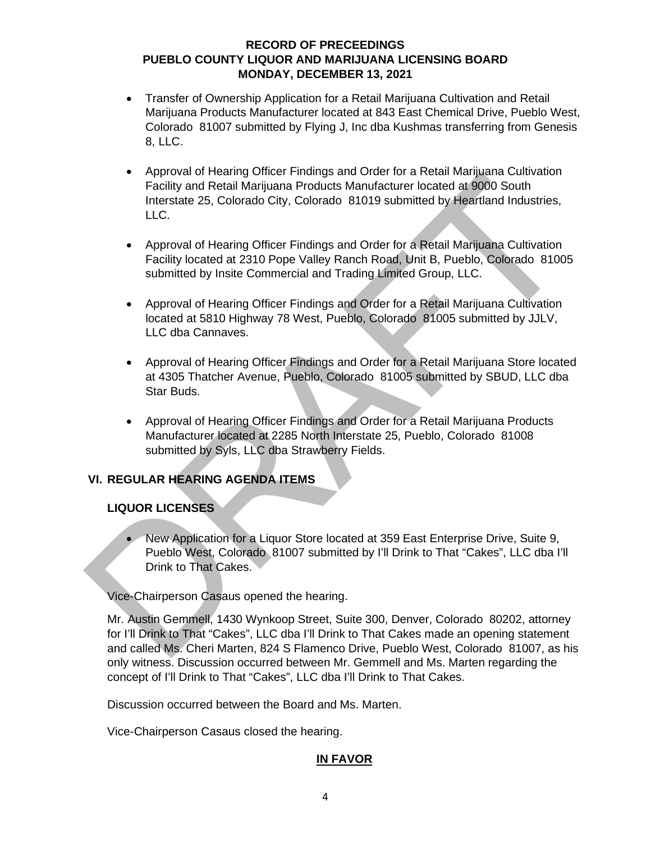- Transfer of Ownership Application for a Retail Marijuana Cultivation and Retail Marijuana Products Manufacturer located at 843 East Chemical Drive, Pueblo West, Colorado 81007 submitted by Flying J, Inc dba Kushmas transferring from Genesis 8, LLC.
- Approval of Hearing Officer Findings and Order for a Retail Marijuana Cultivation Facility and Retail Marijuana Products Manufacturer located at 9000 South Interstate 25, Colorado City, Colorado 81019 submitted by Heartland Industries, LLC. Factility and Retail Marijuana Products Manufacturer located at 9000 South<br>
Interstate 25, Colorado City, Colorado 81019 submitted by Heartland Industries,<br>
LLC.<br>
Approval of Hearing Officer Findings and Order for a Retail
	- Approval of Hearing Officer Findings and Order for a Retail Marijuana Cultivation Facility located at 2310 Pope Valley Ranch Road, Unit B, Pueblo, Colorado 81005 submitted by Insite Commercial and Trading Limited Group, LLC.
	- Approval of Hearing Officer Findings and Order for a Retail Marijuana Cultivation located at 5810 Highway 78 West, Pueblo, Colorado 81005 submitted by JJLV, LLC dba Cannaves.
	- Approval of Hearing Officer Findings and Order for a Retail Marijuana Store located at 4305 Thatcher Avenue, Pueblo, Colorado 81005 submitted by SBUD, LLC dba Star Buds.
	- Approval of Hearing Officer Findings and Order for a Retail Marijuana Products Manufacturer located at 2285 North Interstate 25, Pueblo, Colorado 81008 submitted by Syls, LLC dba Strawberry Fields.

# **VI. REGULAR HEARING AGENDA ITEMS**

# **LIQUOR LICENSES**

• New Application for a Liquor Store located at 359 East Enterprise Drive, Suite 9, Pueblo West, Colorado 81007 submitted by I'll Drink to That "Cakes", LLC dba I'll Drink to That Cakes.

Vice-Chairperson Casaus opened the hearing.

Mr. Austin Gemmell, 1430 Wynkoop Street, Suite 300, Denver, Colorado 80202, attorney for I'll Drink to That "Cakes", LLC dba I'll Drink to That Cakes made an opening statement and called Ms. Cheri Marten, 824 S Flamenco Drive, Pueblo West, Colorado 81007, as his only witness. Discussion occurred between Mr. Gemmell and Ms. Marten regarding the concept of I'll Drink to That "Cakes", LLC dba I'll Drink to That Cakes.

Discussion occurred between the Board and Ms. Marten.

Vice-Chairperson Casaus closed the hearing.

# **IN FAVOR**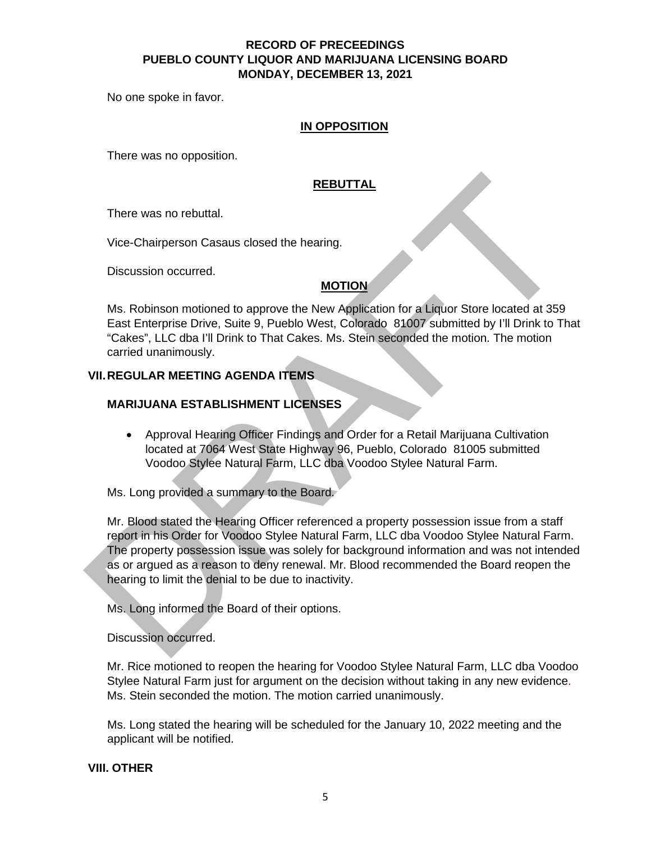No one spoke in favor.

#### **IN OPPOSITION**

There was no opposition.

# **REBUTTAL**

There was no rebuttal.

Vice-Chairperson Casaus closed the hearing.

Discussion occurred.

### **MOTION**

Ms. Robinson motioned to approve the New Application for a Liquor Store located at 359 East Enterprise Drive, Suite 9, Pueblo West, Colorado 81007 submitted by I'll Drink to That "Cakes", LLC dba I'll Drink to That Cakes. Ms. Stein seconded the motion. The motion carried unanimously.

### **VII. REGULAR MEETING AGENDA ITEMS**

### **MARIJUANA ESTABLISHMENT LICENSES**

• Approval Hearing Officer Findings and Order for a Retail Marijuana Cultivation located at 7064 West State Highway 96, Pueblo, Colorado 81005 submitted Voodoo Stylee Natural Farm, LLC dba Voodoo Stylee Natural Farm.

Ms. Long provided a summary to the Board.

Mr. Blood stated the Hearing Officer referenced a property possession issue from a staff report in his Order for Voodoo Stylee Natural Farm, LLC dba Voodoo Stylee Natural Farm. The property possession issue was solely for background information and was not intended as or argued as a reason to deny renewal. Mr. Blood recommended the Board reopen the hearing to limit the denial to be due to inactivity. REBUTTAL<br>
There was no rebuttal.<br>
Vice-Chairperson Casaus closed the hearing.<br>
Discussion occurred.<br>
MS. Robinson motioned to approve the New Agblication for a Liguor Store located at 359<br>
East Enterprise Drive, Suite 9, P

Ms. Long informed the Board of their options.

Discussion occurred.

Mr. Rice motioned to reopen the hearing for Voodoo Stylee Natural Farm, LLC dba Voodoo Stylee Natural Farm just for argument on the decision without taking in any new evidence. Ms. Stein seconded the motion. The motion carried unanimously.

Ms. Long stated the hearing will be scheduled for the January 10, 2022 meeting and the applicant will be notified.

**VIII. OTHER**